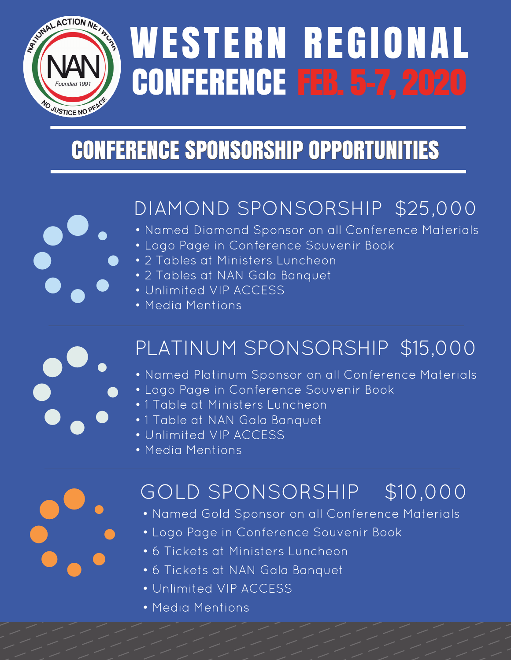

õ

õ

## WESTERN REGIONAL CONFERENCE FEB. 5-7, 2020

## CONFERENCE SPONSORSHIP OPPORTUNITIES

## DIAMOND SPONSORSHIP \$25,000

- Named Diamond Sponsor on all Conference Materials
- Logo Page in Conference Souvenir Book
- 2 Tables at Ministers Luncheon
- 2 Tables at NAN Gala Banquet
- Unlimited VIP ACCESS
- Media Mentions

# PLATINUM SPONSORSHIP \$15,000 **PLATINUM SPO<br>• Named Platinum Spon:**<br>• Logo Page in Conferer<br>• 1 Table at Ministers Lur<br>• 1 Table at NAN Gala Ba<br>• Unlimited VIP ACCESS

- Named Platinum Sponsor on all Conference Materials
- Logo Page in Conference Souvenir Book
- 1 Table at Ministers Luncheon
- 1 Table at NAN Gala Banquet
- 
- Media Mentions

## GOLD SPONSORSHIP \$10,000

- Named Gold Sponsor on all Conference Materials
- Logo Page in Conference Souvenir Book
- 6 Tickets at Ministers Luncheon
- 6 Tickets at NAN Gala Banquet
- Unlimited VIP ACCESS
- Media Mentions